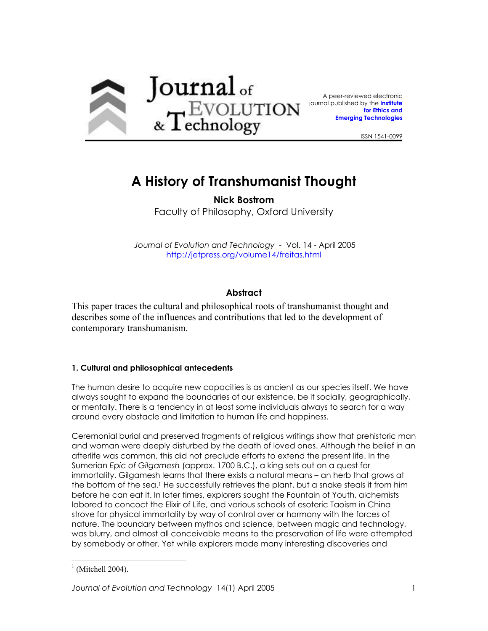

A peer-reviewed electronic [jo](http://jetpress.org/)urnal published by the **[Institute](http://ieet.org/) [for Ethics and](http://ieet.org/) [Emerging Technologies](http://ieet.org/)**

ISSN 1541-0099

# **A History of Transhumanist Thought**

**Nick Bostrom**  Faculty of Philosophy, Oxford University

 *Journal of Evolution and Technology* - Vol. 14 - April 2005 <http://jetpress.org/volume14/freitas.html>

# **Abstract**

This paper traces the cultural and philosophical roots of transhumanist thought and describes some of the influences and contributions that led to the development of contemporary transhumanism.

## **1. Cultural and philosophical antecedents**

The human desire to acquire new capacities is as ancient as our species itself. We have always sought to expand the boundaries of our existence, be it socially, geographically, or mentally. There is a tendency in at least some individuals always to search for a way around every obstacle and limitation to human life and happiness.

Ceremonial burial and preserved fragments of religious writings show that prehistoric man and woman were deeply disturbed by the death of loved ones. Although the belief in an afterlife was common, this did not preclude efforts to extend the present life. In the Sumerian *Epic of Gilgamesh* (approx. 1700 B.C.), a king sets out on a quest for immortality. Gilgamesh learns that there exists a natural means – an herb that grows at the bottom of the sea.<sup>1</sup> He successfully retrieves the plant, but a snake steals it from him before he can eat it. In later times, explorers sought the Fountain of Youth, alchemists labored to concoct the Elixir of Life, and various schools of esoteric Taoism in China strove for physical immortality by way of control over or harmony with the forces of nature. The boundary between mythos and science, between magic and technology, was blurry, and almost all conceivable means to the preservation of life were attempted by somebody or other. Yet while explorers made many interesting discoveries and

<span id="page-0-0"></span> $<sup>1</sup>$  (Mitchell 2004).</sup>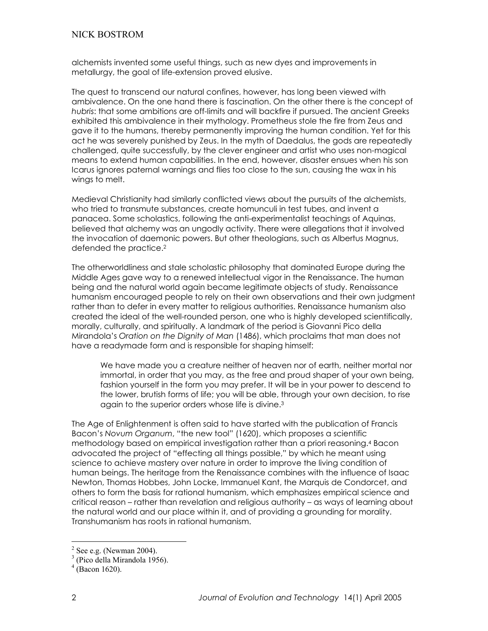alchemists invented some useful things, such as new dyes and improvements in metallurgy, the goal of life-extension proved elusive.

The quest to transcend our natural confines, however, has long been viewed with ambivalence. On the one hand there is fascination. On the other there is the concept of *hubris*: that some ambitions are off-limits and will backfire if pursued. The ancient Greeks exhibited this ambivalence in their mythology. Prometheus stole the fire from Zeus and gave it to the humans, thereby permanently improving the human condition. Yet for this act he was severely punished by Zeus. In the myth of Daedalus, the gods are repeatedly challenged, quite successfully, by the clever engineer and artist who uses non-magical means to extend human capabilities. In the end, however, disaster ensues when his son Icarus ignores paternal warnings and flies too close to the sun, causing the wax in his wings to melt.

Medieval Christianity had similarly conflicted views about the pursuits of the alchemists, who tried to transmute substances, create homunculi in test tubes, and invent a panacea. Some scholastics, following the anti-experimentalist teachings of Aquinas, believed that alchemy was an ungodly activity. There were allegations that it involved the invocation of daemonic powers. But other theologians, such as Albertus Magnus, defended the practice[.2](#page-1-0)

The otherworldliness and stale scholastic philosophy that dominated Europe during the Middle Ages gave way to a renewed intellectual vigor in the Renaissance. The human being and the natural world again became legitimate objects of study. Renaissance humanism encouraged people to rely on their own observations and their own judgment rather than to defer in every matter to religious authorities. Renaissance humanism also created the ideal of the well-rounded person, one who is highly developed scientifically, morally, culturally, and spiritually. A landmark of the period is Giovanni Pico della Mirandola`s *Oration on the Dignity of Man* (1486), which proclaims that man does not have a readymade form and is responsible for shaping himself:

We have made you a creature neither of heaven nor of earth, neither mortal nor immortal, in order that you may, as the free and proud shaper of your own being, fashion yourself in the form you may prefer. It will be in your power to descend to the lower, brutish forms of life; you will be able, through your own decision, to rise again to the superior orders whose life is divine.[3](#page-1-1)

The Age of Enlightenment is often said to have started with the publication of Francis Bacon's Novum Organum, "the new tool" (1620), which proposes a scientific methodology based on empirical investigation rather than a priori reasoning.[4 B](#page-1-2)acon advocated the project of "effecting all things possible," by which he meant using science to achieve mastery over nature in order to improve the living condition of human beings. The heritage from the Renaissance combines with the influence of Isaac Newton, Thomas Hobbes, John Locke, Immanuel Kant, the Marquis de Condorcet, and others to form the basis for rational humanism, which emphasizes empirical science and critical reason – rather than revelation and religious authority – as ways of learning about the natural world and our place within it, and of providing a grounding for morality. Transhumanism has roots in rational humanism.

<span id="page-1-0"></span> $^{2}$  See e.g. (Newman 2004).

<span id="page-1-1"></span><sup>&</sup>lt;sup>3</sup> (Pico della Mirandola 1956).

<span id="page-1-2"></span> $4$  (Bacon 1620).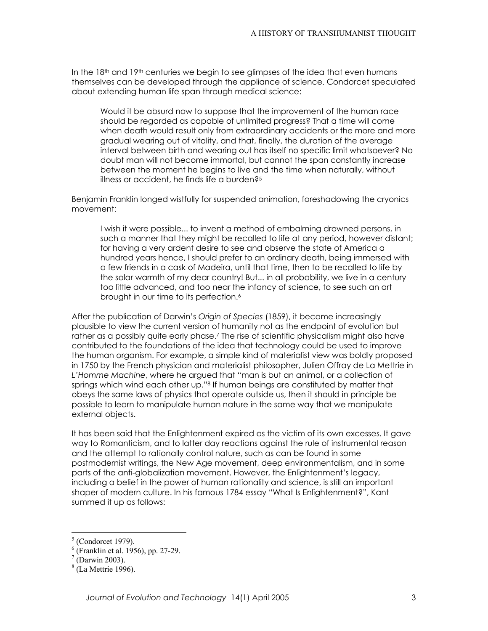In the 18<sup>th</sup> and 19<sup>th</sup> centuries we begin to see glimpses of the idea that even humans themselves can be developed through the appliance of science. Condorcet speculated about extending human life span through medical science:

Would it be absurd now to suppose that the improvement of the human race should be regarded as capable of unlimited progress? That a time will come when death would result only from extraordinary accidents or the more and more gradual wearing out of vitality, and that, finally, the duration of the average interval between birth and wearing out has itself no specific limit whatsoever? No doubt man will not become immortal, but cannot the span constantly increase between the moment he begins to live and the time when naturally, without illness or accident, he finds life a burden?<sup>5</sup>

Benjamin Franklin longed wistfully for suspended animation, foreshadowing the cryonics movement:

I wish it were possible... to invent a method of embalming drowned persons, in such a manner that they might be recalled to life at any period, however distant; for having a very ardent desire to see and observe the state of America a hundred years hence, I should prefer to an ordinary death, being immersed with a few friends in a cask of Madeira, until that time, then to be recalled to life by the solar warmth of my dear country! But... in all probability, we live in a century too little advanced, and too near the infancy of science, to see such an art brought in our time to its perfection.<sup>[6](#page-2-1)</sup>

After the publication of Darwin`s *Origin of Species* (1859), it became increasingly plausible to view the current version of humanity not as the endpoint of evolution but rather as a possibly quite early phase.[7](#page-2-2) The rise of scientific physicalism might also have contributed to the foundations of the idea that technology could be used to improve the human organism. For example, a simple kind of materialist view was boldly proposed in 1750 by the French physician and materialist philosopher, Julien Offray de La Mettrie in L'Homme Machine, where he argued that "man is but an animal, or a collection of springs which wind each other up."<sup>8</sup> If human beings are constituted by matter that obeys the same laws of physics that operate outside us, then it should in principle be possible to learn to manipulate human nature in the same way that we manipulate external objects.

It has been said that the Enlightenment expired as the victim of its own excesses. It gave way to Romanticism, and to latter day reactions against the rule of instrumental reason and the attempt to rationally control nature, such as can be found in some postmodernist writings, the New Age movement, deep environmentalism, and in some parts of the anti-globalization movement. However, the Enlightenment`s legacy, including a belief in the power of human rationality and science, is still an important shaper of modern culture. In his famous 1784 essay "What Is Enlightenment?", Kant summed it up as follows:

<span id="page-2-0"></span> $<sup>5</sup>$  (Condorcet 1979).</sup>  $^{\circ}$  (Condorcet 1979).

<span id="page-2-1"></span><sup>&</sup>lt;sup>6</sup> (Franklin et al. 1956), pp. 27-29.

<span id="page-2-2"></span> $\sqrt{7}$  (Darwin 2003).

<span id="page-2-3"></span> $<sup>8</sup>$  (La Mettrie 1996).</sup>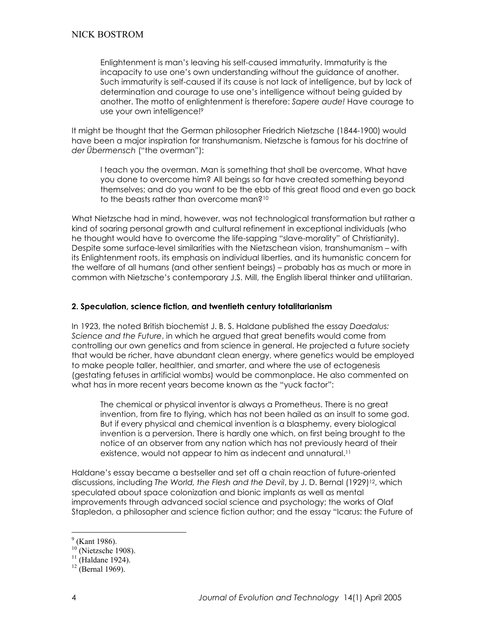Enlightenment is man`s leaving his self-caused immaturity. Immaturity is the incapacity to use one`s own understanding without the guidance of another. Such immaturity is self-caused if its cause is not lack of intelligence, but by lack of determination and courage to use one`s intelligence without being guided by another. The motto of enlightenment is therefore: *Sapere aude!* Have courage to use your own intelligence[!9](#page-3-0)

It might be thought that the German philosopher Friedrich Nietzsche (1844-1900) would have been a major inspiration for transhumanism. Nietzsche is famous for his doctrine of *der Übermensch* ("the overman"):

I teach you the overman. Man is something that shall be overcome. What have you done to overcome him? All beings so far have created something beyond themselves; and do you want to be the ebb of this great flood and even go back to the beasts rather than overcome man?[10](#page-3-1)

What Nietzsche had in mind, however, was not technological transformation but rather a kind of soaring personal growth and cultural refinement in exceptional individuals (who he thought would have to overcome the life-sapping "slave-morality" of Christianity). Despite some surface-level similarities with the Nietzschean vision, transhumanism – with its Enlightenment roots, its emphasis on individual liberties, and its humanistic concern for the welfare of all humans (and other sentient beings) – probably has as much or more in common with Nietzsche`s contemporary J.S. Mill, the English liberal thinker and utilitarian.

#### **2. Speculation, science fiction, and twentieth century totalitarianism**

In 1923, the noted British biochemist J. B. S. Haldane published the essay *Daedalus: Science and the Future*, in which he argued that great benefits would come from controlling our own genetics and from science in general. He projected a future society that would be richer, have abundant clean energy, where genetics would be employed to make people taller, healthier, and smarter, and where the use of ectogenesis (gestating fetuses in artificial wombs) would be commonplace. He also commented on what has in more recent years become known as the "yuck factor":

The chemical or physical inventor is always a Prometheus. There is no great invention, from fire to flying, which has not been hailed as an insult to some god. But if every physical and chemical invention is a blasphemy, every biological invention is a perversion. There is hardly one which, on first being brought to the notice of an observer from any nation which has not previously heard of their existence, would not appear to him as indecent and unnatural.<sup>[11](#page-3-2)</sup>

Haldane`s essay became a bestseller and set off a chain reaction of future-oriented discussions, including *The World, the Flesh and the Devil*, by J. D. Bernal (1929)<sup>12</sup>, which speculated about space colonization and bionic implants as well as mental improvements through advanced social science and psychology; the works of Olaf Stapledon, a philosopher and science fiction author; and the essay "Icarus: the Future of

<span id="page-3-0"></span> $<sup>9</sup>$  (Kant 1986).</sup>

<span id="page-3-1"></span> $^{10}_{10}$  (Nietzsche 1908).<br><sup>11</sup> (Haldane 1924).<br><sup>12</sup> (Bernal 1969).

<span id="page-3-2"></span>

<span id="page-3-3"></span>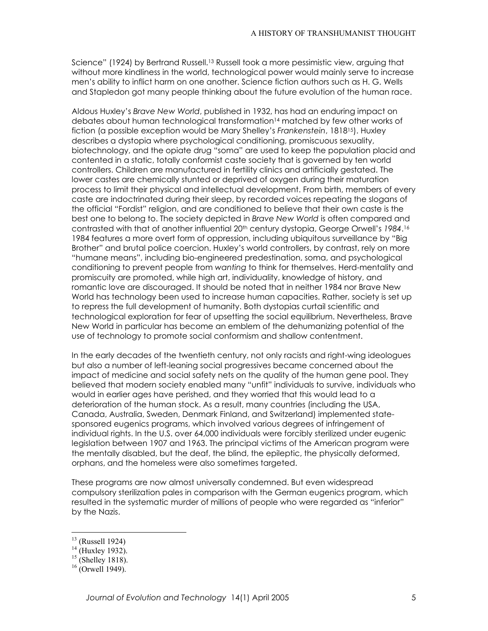Science" (1924) by Bertrand Russell.<sup>13</sup> Russell took a more pessimistic view, arguing that without more kindliness in the world, technological power would mainly serve to increase men`s ability to inflict harm on one another. Science fiction authors such as H. G. Wells and Stapledon got many people thinking about the future evolution of the human race.

Aldous Huxley`s *Brave New World*, published in 1932, has had an enduring impact on debates about human technological transformation<sup>14</sup> matched by few other works of fiction (a possible exception would be Mary Shelley`s *Frankenstein*, 1818[15\)](#page-4-2). Huxley describes a dystopia where psychological conditioning, promiscuous sexuality, biotechnology, and the opiate drug "soma" are used to keep the population placid and contented in a static, totally conformist caste society that is governed by ten world controllers. Children are manufactured in fertility clinics and artificially gestated. The lower castes are chemically stunted or deprived of oxygen during their maturation process to limit their physical and intellectual development. From birth, members of every caste are indoctrinated during their sleep, by recorded voices repeating the slogans of the official "Fordist" religion, and are conditioned to believe that their own caste is the best one to belong to. The society depicted in *Brave New World* is often compared and contrasted with that of another influential 20th century dystopia, George Orwell`s *1984*.[16](#page-4-3) 1984 features a more overt form of oppression, including ubiquitous surveillance by "Big Brother" and brutal police coercion. Huxley's world controllers, by contrast, rely on more ehumane meansf, including bio-engineered predestination, soma, and psychological conditioning to prevent people from *wanting* to think for themselves. Herd-mentality and promiscuity are promoted, while high art, individuality, knowledge of history, and romantic love are discouraged. It should be noted that in neither 1984 nor Brave New World has technology been used to increase human capacities. Rather, society is set up to repress the full development of humanity. Both dystopias curtail scientific and technological exploration for fear of upsetting the social equilibrium. Nevertheless, Brave New World in particular has become an emblem of the dehumanizing potential of the use of technology to promote social conformism and shallow contentment.

In the early decades of the twentieth century, not only racists and right-wing ideologues but also a number of left-leaning social progressives became concerned about the impact of medicine and social safety nets on the quality of the human gene pool. They believed that modern society enabled many "unfit" individuals to survive, individuals who would in earlier ages have perished, and they worried that this would lead to a deterioration of the human stock. As a result, many countries (including the USA, Canada, Australia, Sweden, Denmark Finland, and Switzerland) implemented statesponsored eugenics programs, which involved various degrees of infringement of individual rights. In the U.S. over 64,000 individuals were forcibly sterilized under eugenic legislation between 1907 and 1963. The principal victims of the American program were the mentally disabled, but the deaf, the blind, the epileptic, the physically deformed, orphans, and the homeless were also sometimes targeted.

These programs are now almost universally condemned. But even widespread compulsory sterilization pales in comparison with the German eugenics program, which resulted in the systematic murder of millions of people who were regarded as "inferior" by the Nazis.

<span id="page-4-0"></span> $13$  (Russell 1924)

<span id="page-4-1"></span><sup>14 (</sup>Huxley 1932).<br><sup>15</sup> (Shelley 1818).<br><sup>16</sup> (Orwell 1949).

<span id="page-4-2"></span>

<span id="page-4-3"></span>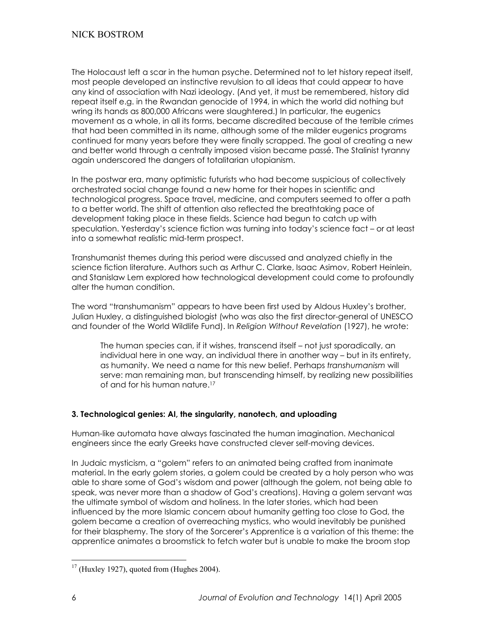The Holocaust left a scar in the human psyche. Determined not to let history repeat itself, most people developed an instinctive revulsion to all ideas that could appear to have any kind of association with Nazi ideology. (And yet, it must be remembered, history did repeat itself e.g. in the Rwandan genocide of 1994, in which the world did nothing but wring its hands as 800,000 Africans were slaughtered.) In particular, the eugenics movement as a whole, in all its forms, became discredited because of the terrible crimes that had been committed in its name, although some of the milder eugenics programs continued for many years before they were finally scrapped. The goal of creating a new and better world through a centrally imposed vision became passé. The Stalinist tyranny again underscored the dangers of totalitarian utopianism.

In the postwar era, many optimistic futurists who had become suspicious of collectively orchestrated social change found a new home for their hopes in scientific and technological progress. Space travel, medicine, and computers seemed to offer a path to a better world. The shift of attention also reflected the breathtaking pace of development taking place in these fields. Science had begun to catch up with speculation. Yesterday's science fiction was turning into today's science fact - or at least into a somewhat realistic mid-term prospect.

Transhumanist themes during this period were discussed and analyzed chiefly in the science fiction literature. Authors such as Arthur C. Clarke, Isaac Asimov, Robert Heinlein, and Stanislaw Lem explored how technological development could come to profoundly alter the human condition.

The word "transhumanism" appears to have been first used by Aldous Huxley's brother, Julian Huxley, a distinguished biologist (who was also the first director-general of UNESCO and founder of the World Wildlife Fund). In *Religion Without Revelation* (1927), he wrote:

The human species can, if it wishes, transcend itself - not just sporadically, an individual here in one way, an individual there in another way – but in its entirety, as humanity. We need a name for this new belief. Perhaps *transhumanism* will serve: man remaining man, but transcending himself, by realizing new possibilities of and for his human nature[.17](#page-5-0)

## **3. Technological genies: AI, the singularity, nanotech, and uploading**

Human-like automata have always fascinated the human imagination. Mechanical engineers since the early Greeks have constructed clever self-moving devices.

In Judaic mysticism, a "golem" refers to an animated being crafted from inanimate material. In the early golem stories, a golem could be created by a holy person who was able to share some of God`s wisdom and power (although the golem, not being able to speak, was never more than a shadow of God`s creations). Having a golem servant was the ultimate symbol of wisdom and holiness. In the later stories, which had been influenced by the more Islamic concern about humanity getting too close to God, the golem became a creation of overreaching mystics, who would inevitably be punished for their blasphemy. The story of the Sorcerer's Apprentice is a variation of this theme: the apprentice animates a broomstick to fetch water but is unable to make the broom stop

<span id="page-5-0"></span> $17$  (Huxley 1927), quoted from (Hughes 2004).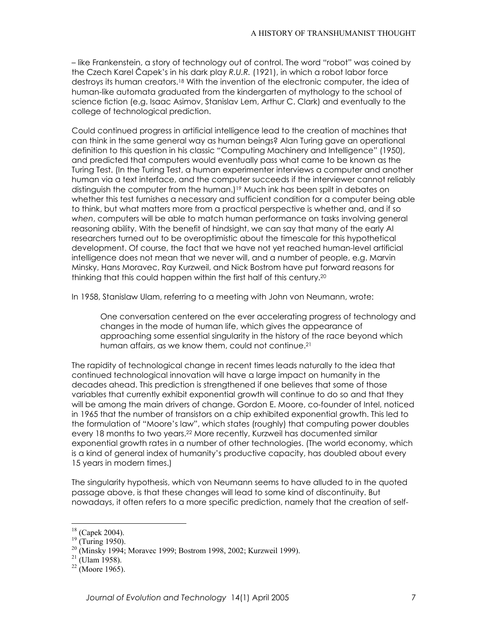- like Frankenstein, a story of technology out of control. The word "robot" was coined by the Czech Karel ÿapek`s in his dark play *R.U.R.* (1921), in which a robot labor force destroys its human creators.[18](#page-6-0) With the invention of the electronic computer, the idea of human-like automata graduated from the kindergarten of mythology to the school of science fiction (e.g. Isaac Asimov, Stanislav Lem, Arthur C. Clark) and eventually to the college of technological prediction.

Could continued progress in artificial intelligence lead to the creation of machines that can think in the same general way as human beings? Alan Turing gave an operational definition to this question in his classic "Computing Machinery and Intelligence" (1950), and predicted that computers would eventually pass what came to be known as the Turing Test. (In the Turing Test, a human experimenter interviews a computer and another human via a text interface, and the computer succeeds if the interviewer cannot reliably distinguish the computer from the human.)<sup>19</sup> Much ink has been spilt in debates on whether this test furnishes a necessary and sufficient condition for a computer being able to think, but what matters more from a practical perspective is whether and, and if so *when*, computers will be able to match human performance on tasks involving general reasoning ability. With the benefit of hindsight, we can say that many of the early AI researchers turned out to be overoptimistic about the timescale for this hypothetical development. Of course, the fact that we have not yet reached human-level artificial intelligence does not mean that we never will, and a number of people, e.g. Marvin Minsky, Hans Moravec, Ray Kurzweil, and Nick Bostrom have put forward reasons for thinking that this could happen within the first half of this century[.20](#page-6-2)

In 1958, Stanislaw Ulam, referring to a meeting with John von Neumann, wrote:

One conversation centered on the ever accelerating progress of technology and changes in the mode of human life, which gives the appearance of approaching some essential singularity in the history of the race beyond which human affairs, as we know them, could not continue.<sup>[21](#page-6-3)</sup>

The rapidity of technological change in recent times leads naturally to the idea that continued technological innovation will have a large impact on humanity in the decades ahead. This prediction is strengthened if one believes that some of those variables that currently exhibit exponential growth will continue to do so and that they will be among the main drivers of change. Gordon E. Moore, co-founder of Intel, noticed in 1965 that the number of transistors on a chip exhibited exponential growth. This led to the formulation of "Moore's law", which states (roughly) that computing power doubles every 18 months to two years.[22 M](#page-6-4)ore recently, Kurzweil has documented similar exponential growth rates in a number of other technologies. (The world economy, which is a kind of general index of humanity`s productive capacity, has doubled about every 15 years in modern times.)

The singularity hypothesis, which von Neumann seems to have alluded to in the quoted passage above, is that these changes will lead to some kind of discontinuity. But nowadays, it often refers to a more specific prediction, namely that the creation of self-

<span id="page-6-0"></span> $18$  (Capek 2004).

<span id="page-6-2"></span><span id="page-6-1"></span>

<sup>&</sup>lt;sup>19</sup> (Turing 1950).<br><sup>20</sup> (Minsky 1994; Moravec 1999; Bostrom 1998, 2002; Kurzweil 1999).<br><sup>21</sup> (Ulam 1958).<br><sup>22</sup> (Moore 1965).

<span id="page-6-3"></span>

<span id="page-6-4"></span>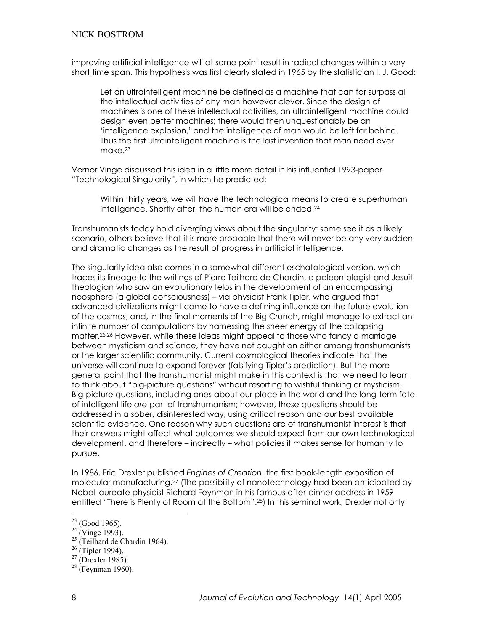improving artificial intelligence will at some point result in radical changes within a very short time span. This hypothesis was first clearly stated in 1965 by the statistician I. J. Good:

Let an ultraintelligent machine be defined as a machine that can far surpass all the intellectual activities of any man however clever. Since the design of machines is one of these intellectual activities, an ultraintelligent machine could design even better machines; there would then unquestionably be an intelligence explosion,' and the intelligence of man would be left far behind. Thus the first ultraintelligent machine is the last invention that man need ever make.[23](#page-7-0)

Vernor Vinge discussed this idea in a little more detail in his influential 1993-paper "Technological Singularity", in which he predicted:

Within thirty years, we will have the technological means to create superhuman intelligence. Shortly after, the human era will be ended.<sup>[24](#page-7-1)</sup>

Transhumanists today hold diverging views about the singularity: some see it as a likely scenario, others believe that it is more probable that there will never be any very sudden and dramatic changes as the result of progress in artificial intelligence.

The singularity idea also comes in a somewhat different eschatological version, which traces its lineage to the writings of Pierre Teilhard de Chardin, a paleontologist and Jesuit theologian who saw an evolutionary telos in the development of an encompassing noosphere (a global consciousness) – via physicist Frank Tipler, who argued that advanced civilizations might come to have a defining influence on the future evolution of the cosmos, and, in the final moments of the Big Crunch, might manage to extract an infinite number of computations by harnessing the sheer energy of the collapsing matter[.25,](#page-7-2)[26](#page-7-3) However, while these ideas might appeal to those who fancy a marriage between mysticism and science, they have not caught on either among transhumanists or the larger scientific community. Current cosmological theories indicate that the universe will continue to expand forever (falsifying Tipler`s prediction). But the more general point that the transhumanist might make in this context is that we need to learn to think about "big-picture questions" without resorting to wishful thinking or mysticism. Big-picture questions, including ones about our place in the world and the long-term fate of intelligent life *are* part of transhumanism; however, these questions should be addressed in a sober, disinterested way, using critical reason and our best available scientific evidence. One reason why such questions are of transhumanist interest is that their answers might affect what outcomes we should expect from our own technological development, and therefore – indirectly – what policies it makes sense for humanity to pursue.

In 1986, Eric Drexler published *Engines of Creation*, the first book-length exposition of molecular manufacturing.[27](#page-7-4) (The possibility of nanotechnology had been anticipated by Nobel laureate physicist Richard Feynman in his famous after-dinner address in 1959 entitled "There is Plenty of Room at the Bottom".<sup>28</sup>) In this seminal work, Drexler not only

- <sup>24</sup> (Vinge 1993).<br><sup>25</sup> (Teilhard de Chardin 1964).<br><sup>26</sup> (Tipler 1994).<br><sup>27</sup> (Drexler 1985).<br><sup>28</sup> (Feynman 1960).
- <span id="page-7-3"></span>
- <span id="page-7-4"></span>

<span id="page-7-0"></span> $23$  (Good 1965).

<span id="page-7-2"></span><span id="page-7-1"></span>

<span id="page-7-5"></span>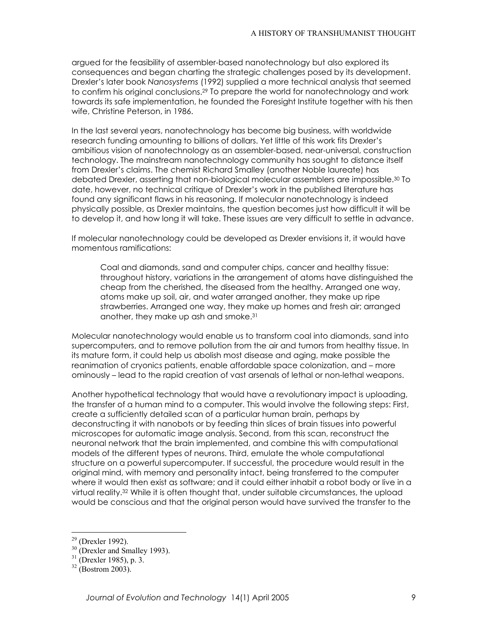argued for the feasibility of assembler-based nanotechnology but also explored its consequences and began charting the strategic challenges posed by its development. Drexler`s later book *Nanosystems* (1992) supplied a more technical analysis that seemed to confirm his original conclusions.<sup>29</sup> To prepare the world for nanotechnology and work towards its safe implementation, he founded the Foresight Institute together with his then wife, Christine Peterson, in 1986.

In the last several years, nanotechnology has become big business, with worldwide research funding amounting to billions of dollars. Yet little of this work fits Drexler`s ambitious vision of nanotechnology as an assembler-based, near-universal, construction technology. The mainstream nanotechnology community has sought to distance itself from Drexler`s claims. The chemist Richard Smalley (another Noble laureate) has debated Drexler, asserting that non-biological molecular assemblers are impossible[.30](#page-8-1) To date, however, no technical critique of Drexler`s work in the published literature has found any significant flaws in his reasoning. If molecular nanotechnology is indeed physically possible, as Drexler maintains, the question becomes just how difficult it will be to develop it, and how long it will take. These issues are very difficult to settle in advance.

If molecular nanotechnology could be developed as Drexler envisions it, it would have momentous ramifications:

Coal and diamonds, sand and computer chips, cancer and healthy tissue: throughout history, variations in the arrangement of atoms have distinguished the cheap from the cherished, the diseased from the healthy. Arranged one way, atoms make up soil, air, and water arranged another, they make up ripe strawberries. Arranged one way, they make up homes and fresh air; arranged another, they make up ash and smoke.[31](#page-8-2)

Molecular nanotechnology would enable us to transform coal into diamonds, sand into supercomputers, and to remove pollution from the air and tumors from healthy tissue. In its mature form, it could help us abolish most disease and aging, make possible the reanimation of cryonics patients, enable affordable space colonization, and - more ominously – lead to the rapid creation of vast arsenals of lethal or non-lethal weapons.

Another hypothetical technology that would have a revolutionary impact is uploading, the transfer of a human mind to a computer. This would involve the following steps: First, create a sufficiently detailed scan of a particular human brain, perhaps by deconstructing it with nanobots or by feeding thin slices of brain tissues into powerful microscopes for automatic image analysis. Second, from this scan, reconstruct the neuronal network that the brain implemented, and combine this with computational models of the different types of neurons. Third, emulate the whole computational structure on a powerful supercomputer. If successful, the procedure would result in the original mind, with memory and personality intact, being transferred to the computer where it would then exist as software; and it could either inhabit a robot body or live in a virtual reality.[32](#page-8-3) While it is often thought that, under suitable circumstances, the upload would be conscious and that the original person would have survived the transfer to the

<span id="page-8-0"></span> $29$  (Drexler 1992).

<span id="page-8-1"></span><sup>&</sup>lt;sup>30</sup> (Drexler and Smalley 1993).<br><sup>31</sup> (Drexler 1985), p. 3.<br><sup>32</sup> (Bostrom 2003).

<span id="page-8-2"></span>

<span id="page-8-3"></span>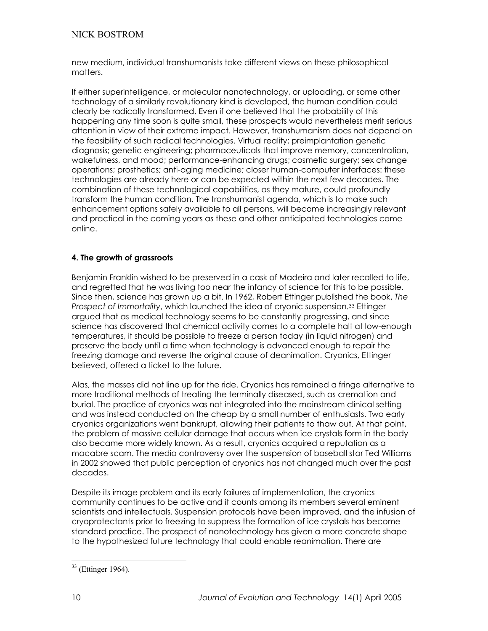new medium, individual transhumanists take different views on these philosophical matters.

If either superintelligence, or molecular nanotechnology, or uploading, or some other technology of a similarly revolutionary kind is developed, the human condition could clearly be radically transformed. Even if one believed that the probability of this happening any time soon is quite small, these prospects would nevertheless merit serious attention in view of their extreme impact. However, transhumanism does not depend on the feasibility of such radical technologies. Virtual reality; preimplantation genetic diagnosis; genetic engineering; pharmaceuticals that improve memory, concentration, wakefulness, and mood; performance-enhancing drugs; cosmetic surgery; sex change operations; prosthetics; anti-aging medicine; closer human-computer interfaces: these technologies are already here or can be expected within the next few decades. The combination of these technological capabilities, as they mature, could profoundly transform the human condition. The transhumanist agenda, which is to make such enhancement options safely available to all persons, will become increasingly relevant and practical in the coming years as these and other anticipated technologies come online.

## **4. The growth of grassroots**

Benjamin Franklin wished to be preserved in a cask of Madeira and later recalled to life, and regretted that he was living too near the infancy of science for this to be possible. Since then, science has grown up a bit. In 1962, Robert Ettinger published the book, *The Prospect of Immortality*, which launched the idea of cryonic suspension.[33 E](#page-9-0)ttinger argued that as medical technology seems to be constantly progressing, and since science has discovered that chemical activity comes to a complete halt at low-enough temperatures, it should be possible to freeze a person today (in liquid nitrogen) and preserve the body until a time when technology is advanced enough to repair the freezing damage and reverse the original cause of deanimation. Cryonics, Ettinger believed, offered a ticket to the future.

Alas, the masses did not line up for the ride. Cryonics has remained a fringe alternative to more traditional methods of treating the terminally diseased, such as cremation and burial. The practice of cryonics was not integrated into the mainstream clinical setting and was instead conducted on the cheap by a small number of enthusiasts. Two early cryonics organizations went bankrupt, allowing their patients to thaw out. At that point, the problem of massive cellular damage that occurs when ice crystals form in the body also became more widely known. As a result, cryonics acquired a reputation as a macabre scam. The media controversy over the suspension of baseball star Ted Williams in 2002 showed that public perception of cryonics has not changed much over the past decades.

Despite its image problem and its early failures of implementation, the cryonics community continues to be active and it counts among its members several eminent scientists and intellectuals. Suspension protocols have been improved, and the infusion of cryoprotectants prior to freezing to suppress the formation of ice crystals has become standard practice. The prospect of nanotechnology has given a more concrete shape to the hypothesized future technology that could enable reanimation. There are

<span id="page-9-0"></span> $\overline{a}$ 33 (Ettinger 1964).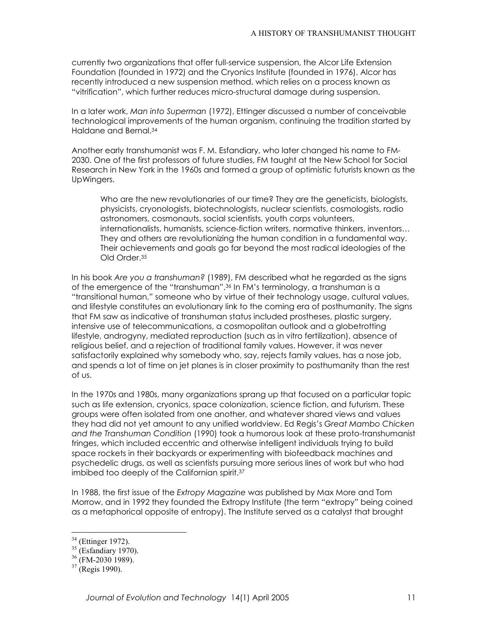currently two organizations that offer full-service suspension, the Alcor Life Extension Foundation (founded in 1972) and the Cryonics Institute (founded in 1976). Alcor has recently introduced a new suspension method, which relies on a process known as "vitrification", which further reduces micro-structural damage during suspension.

In a later work, *Man into Superman* (1972), Ettinger discussed a number of conceivable technological improvements of the human organism, continuing the tradition started by Haldane and Bernal.[34](#page-10-0)

Another early transhumanist was F. M. Esfandiary, who later changed his name to FM-2030. One of the first professors of future studies, FM taught at the New School for Social Research in New York in the 1960s and formed a group of optimistic futurists known as the UpWingers.

Who are the new revolutionaries of our time? They are the geneticists, biologists, physicists, cryonologists, biotechnologists, nuclear scientists, cosmologists, radio astronomers, cosmonauts, social scientists, youth corps volunteers, internationalists, humanists, science-fiction writers, normative thinkers, inventors... They and others are revolutionizing the human condition in a fundamental way. Their achievements and goals go far beyond the most radical ideologies of the Old Order[.35](#page-10-1)

In his book *Are you a transhuman?* (1989), FM described what he regarded as the signs of the emergence of the "transhuman".<sup>36</sup> In FM's terminology, a transhuman is a "transitional human," someone who by virtue of their technology usage, cultural values, and lifestyle constitutes an evolutionary link to the coming era of posthumanity. The signs that FM saw as indicative of transhuman status included prostheses, plastic surgery, intensive use of telecommunications, a cosmopolitan outlook and a globetrotting lifestyle, androgyny, mediated reproduction (such as in vitro fertilization), absence of religious belief, and a rejection of traditional family values. However, it was never satisfactorily explained why somebody who, say, rejects family values, has a nose job, and spends a lot of time on jet planes is in closer proximity to posthumanity than the rest of us.

In the 1970s and 1980s, many organizations sprang up that focused on a particular topic such as life extension, cryonics, space colonization, science fiction, and futurism. These groups were often isolated from one another, and whatever shared views and values they had did not yet amount to any unified worldview. Ed Regis`s *Great Mambo Chicken and the Transhuman Condition* (1990) took a humorous look at these proto-transhumanist fringes, which included eccentric and otherwise intelligent individuals trying to build space rockets in their backyards or experimenting with biofeedback machines and psychedelic drugs, as well as scientists pursuing more serious lines of work but who had imbibed too deeply of the Californian spirit.[37](#page-10-3)

In 1988, the first issue of the *Extropy Magazine* was published by Max More and Tom Morrow, and in 1992 they founded the Extropy Institute (the term "extropy" being coined as a metaphorical opposite of entropy). The Institute served as a catalyst that brought

<span id="page-10-0"></span>

<span id="page-10-2"></span><span id="page-10-1"></span>

<sup>&</sup>lt;sup>34</sup> (Ettinger 1972).<br><sup>35</sup> (Esfandiary 1970).<br><sup>36</sup> (FM-2030 1989).<br><sup>37</sup> (Regis 1990).

<span id="page-10-3"></span>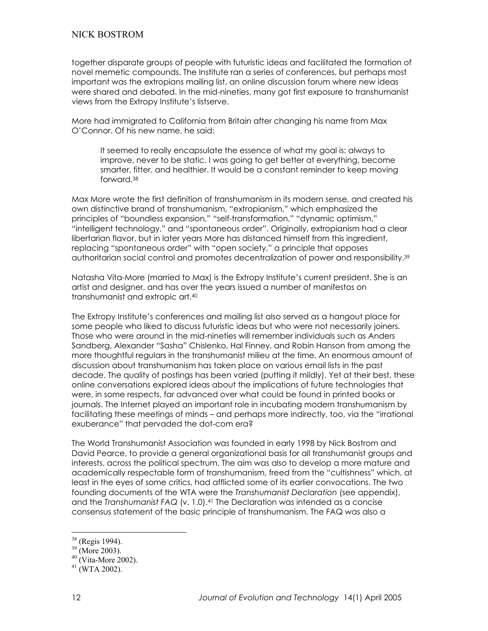together disparate groups of people with futuristic ideas and facilitated the formation of novel memetic compounds. The Institute ran a series of conferences, but perhaps most important was the extropians mailing list, an online discussion forum where new ideas were shared and debated. In the mid-nineties, many got first exposure to transhumanist views from the Extropy Institute`s listserve.

More had immigrated to California from Britain after changing his name from Max O`Connor. Of his new name, he said:

It seemed to really encapsulate the essence of what my goal is: always to improve, never to be static. I was going to get better at everything, become smarter, fitter, and healthier. It would be a constant reminder to keep moving forward.[38](#page-11-0)

Max More wrote the first definition of transhumanism in its modern sense, and created his own distinctive brand of transhumanism, "extropianism," which emphasized the principles of "boundless expansion," "self-transformation," "dynamic optimism," "intelligent technology," and "spontaneous order". Originally, extropianism had a clear libertarian flavor, but in later years More has distanced himself from this ingredient, replacing "spontaneous order" with "open society," a principle that opposes authoritarian social control and promotes decentralization of power and responsibility.[39](#page-11-1)

Natasha Vita-More (married to Max) is the Extropy Institute`s current president. She is an artist and designer, and has over the years issued a number of manifestos on transhumanist and extropic art.[40](#page-11-2)

The Extropy Institute`s conferences and mailing list also served as a hangout place for some people who liked to discuss futuristic ideas but who were not necessarily joiners. Those who were around in the mid-nineties will remember individuals such as Anders Sandberg, Alexander "Sasha" Chislenko, Hal Finney, and Robin Hanson from among the more thoughtful regulars in the transhumanist milieu at the time. An enormous amount of discussion about transhumanism has taken place on various email lists in the past decade. The quality of postings has been varied (putting it mildly). Yet at their best, these online conversations explored ideas about the implications of future technologies that were, in some respects, far advanced over what could be found in printed books or journals. The Internet played an important role in incubating modern transhumanism by facilitating these meetings of minds – and perhaps more indirectly, too, via the "irrational exuberance" that pervaded the dot-com era?

The World Transhumanist Association was founded in early 1998 by Nick Bostrom and David Pearce, to provide a general organizational basis for all transhumanist groups and interests, across the political spectrum. The aim was also to develop a more mature and academically respectable form of transhumanism, freed from the "cultishness" which, at least in the eyes of some critics, had afflicted some of its earlier convocations. The two founding documents of the WTA were the *Transhumanist Declaration* (see appendix), and the *Transhumanist FAQ* (v. 1.0).[41 T](#page-11-3)he Declaration was intended as a concise consensus statement of the basic principle of transhumanism. The FAQ was also a

<span id="page-11-0"></span>

<span id="page-11-2"></span><span id="page-11-1"></span>

<sup>&</sup>lt;sup>38</sup> (Regis 1994).<br><sup>39</sup> (More 2003).<br><sup>40</sup> (Vita-More 2002).<br><sup>41</sup> (WTA 2002).

<span id="page-11-3"></span>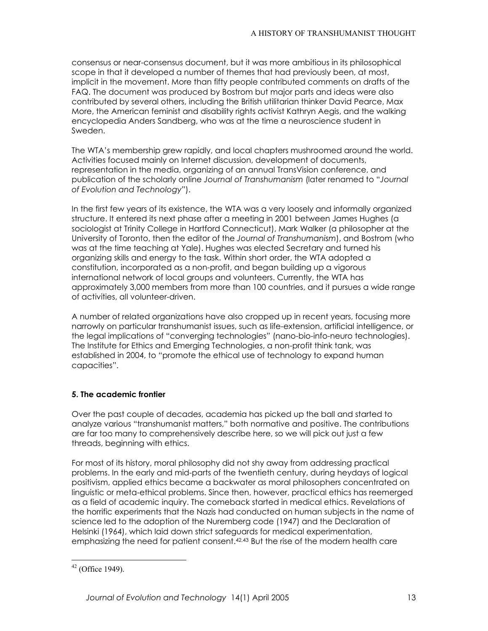consensus or near-consensus document, but it was more ambitious in its philosophical scope in that it developed a number of themes that had previously been, at most, implicit in the movement. More than fifty people contributed comments on drafts of the FAQ. The document was produced by Bostrom but major parts and ideas were also contributed by several others, including the British utilitarian thinker David Pearce, Max More, the American feminist and disability rights activist Kathryn Aegis, and the walking encyclopedia Anders Sandberg, who was at the time a neuroscience student in Sweden.

The WTA`s membership grew rapidly, and local chapters mushroomed around the world. Activities focused mainly on Internet discussion, development of documents, representation in the media, organizing of an annual TransVision conference, and publication of the scholarly online *Journal of Transhumanism* (later renamed to "*Journal of Evolution and Technology*f).

In the first few years of its existence, the WTA was a very loosely and informally organized structure. It entered its next phase after a meeting in 2001 between James Hughes (a sociologist at Trinity College in Hartford Connecticut), Mark Walker (a philosopher at the University of Toronto, then the editor of the *Journal of Transhumanism*), and Bostrom (who was at the time teaching at Yale). Hughes was elected Secretary and turned his organizing skills and energy to the task. Within short order, the WTA adopted a constitution, incorporated as a non-profit, and began building up a vigorous international network of local groups and volunteers. Currently, the WTA has approximately 3,000 members from more than 100 countries, and it pursues a wide range of activities, all volunteer-driven.

A number of related organizations have also cropped up in recent years, focusing more narrowly on particular transhumanist issues, such as life-extension, artificial intelligence, or the legal implications of "converging technologies" (nano-bio-info-neuro technologies). The Institute for Ethics and Emerging Technologies, a non-profit think tank, was established in 2004, to "promote the ethical use of technology to expand human capacities".

# **5. The academic frontier**

Over the past couple of decades, academia has picked up the ball and started to analyze various "transhumanist matters," both normative and positive. The contributions are far too many to comprehensively describe here, so we will pick out just a few threads, beginning with ethics.

For most of its history, moral philosophy did not shy away from addressing practical problems. In the early and mid-parts of the twentieth century, during heydays of logical positivism, applied ethics became a backwater as moral philosophers concentrated on linguistic or meta-ethical problems. Since then, however, practical ethics has reemerged as a field of academic inquiry. The comeback started in medical ethics. Revelations of the horrific experiments that the Nazis had conducted on human subjects in the name of science led to the adoption of the Nuremberg code (1947) and the Declaration of Helsinki (1964), which laid down strict safeguards for medical experimentation, emphasizing the need for patient consent.<sup>[42,](#page-12-0)[43](#page-12-1)</sup> But the rise of the modern health care

<span id="page-12-1"></span><span id="page-12-0"></span> $\overline{a}$  $42$  (Office 1949).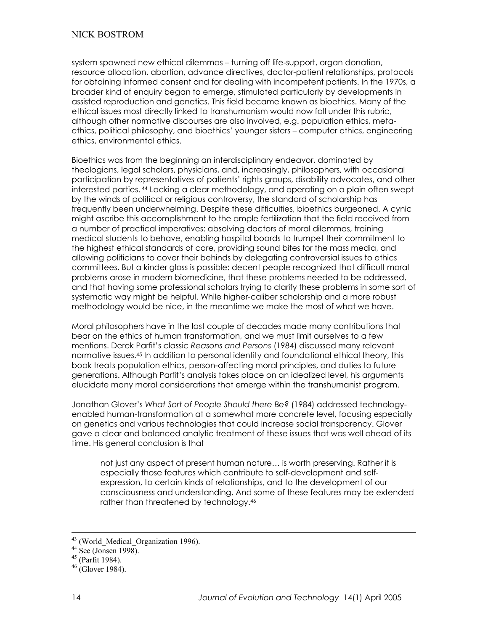system spawned new ethical dilemmas – turning off life-support, organ donation, resource allocation, abortion, advance directives, doctor-patient relationships, protocols for obtaining informed consent and for dealing with incompetent patients. In the 1970s, a broader kind of enquiry began to emerge, stimulated particularly by developments in assisted reproduction and genetics. This field became known as bioethics. Many of the ethical issues most directly linked to transhumanism would now fall under this rubric, although other normative discourses are also involved, e.g. population ethics, metaethics, political philosophy, and bioethics' younger sisters - computer ethics, engineering ethics, environmental ethics.

Bioethics was from the beginning an interdisciplinary endeavor, dominated by theologians, legal scholars, physicians, and, increasingly, philosophers, with occasional participation by representatives of patients` rights groups, disability advocates, and other interested parties. [44](#page-13-0) Lacking a clear methodology, and operating on a plain often swept by the winds of political or religious controversy, the standard of scholarship has frequently been underwhelming. Despite these difficulties, bioethics burgeoned. A cynic might ascribe this accomplishment to the ample fertilization that the field received from a number of practical imperatives: absolving doctors of moral dilemmas, training medical students to behave, enabling hospital boards to trumpet their commitment to the highest ethical standards of care, providing sound bites for the mass media, and allowing politicians to cover their behinds by delegating controversial issues to ethics committees. But a kinder gloss is possible: decent people recognized that difficult moral problems arose in modern biomedicine, that these problems needed to be addressed, and that having some professional scholars trying to clarify these problems in some sort of systematic way might be helpful. While higher-caliber scholarship and a more robust methodology would be nice, in the meantime we make the most of what we have.

Moral philosophers have in the last couple of decades made many contributions that bear on the ethics of human transformation, and we must limit ourselves to a few mentions. Derek Parfit`s classic *Reasons and Persons* (1984) discussed many relevant normative issues[.45](#page-13-1) In addition to personal identity and foundational ethical theory, this book treats population ethics, person-affecting moral principles, and duties to future generations. Although Parfit`s analysis takes place on an idealized level, his arguments elucidate many moral considerations that emerge within the transhumanist program.

Jonathan Glover`s *What Sort of People Should there Be?* (1984) addressed technologyenabled human-transformation at a somewhat more concrete level, focusing especially on genetics and various technologies that could increase social transparency. Glover gave a clear and balanced analytic treatment of these issues that was well ahead of its time. His general conclusion is that

not just any aspect of present human nature... is worth preserving. Rather it is especially those features which contribute to self-development and selfexpression, to certain kinds of relationships, and to the development of our consciousness and understanding. And some of these features may be extended rather than threatened by technology[.46](#page-13-2)

<sup>&</sup>lt;sup>43</sup> (World\_Medical\_Organization 1996).<br><sup>44</sup> See (Jonsen 1998).<br><sup>45</sup> (Parfit 1984).<br><sup>46</sup> (Glover 1984).

<span id="page-13-0"></span>

<span id="page-13-1"></span>

<span id="page-13-2"></span>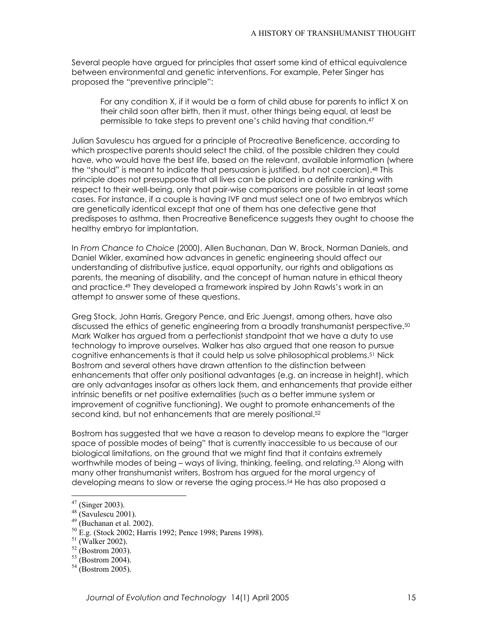Several people have argued for principles that assert some kind of ethical equivalence between environmental and genetic interventions. For example, Peter Singer has proposed the "preventive principle":

For any condition X, if it would be a form of child abuse for parents to inflict X on their child soon after birth, then it must, other things being equal, at least be permissible to take steps to prevent one`s child having that condition[.47](#page-14-0)

Julian Savulescu has argued for a principle of Procreative Beneficence, according to which prospective parents should select the child, of the possible children they could have, who would have the best life, based on the relevant, available information (where the "should" is meant to indicate that persuasion is justified, but not coercion).<sup>48</sup> This principle does not presuppose that all lives can be placed in a definite ranking with respect to their well-being, only that pair-wise comparisons are possible in at least some cases. For instance, if a couple is having IVF and must select one of two embryos which are genetically identical except that one of them has one defective gene that predisposes to asthma, then Procreative Beneficence suggests they ought to choose the healthy embryo for implantation.

In *From Chance to Choice* (2000), Allen Buchanan, Dan W. Brock, Norman Daniels, and Daniel Wikler, examined how advances in genetic engineering should affect our understanding of distributive justice, equal opportunity, our rights and obligations as parents, the meaning of disability, and the concept of human nature in ethical theory and practice.[49](#page-14-2) They developed a framework inspired by John Rawls`s work in an attempt to answer some of these questions.

Greg Stock, John Harris, Gregory Pence, and Eric Juengst, among others, have also discussed the ethics of genetic engineering from a broadly transhumanist perspective.[50](#page-14-3) Mark Walker has argued from a perfectionist standpoint that we have a duty to use technology to improve ourselves. Walker has also argued that one reason to pursue cognitive enhancements is that it could help us solve philosophical problems.[51](#page-14-4) Nick Bostrom and several others have drawn attention to the distinction between enhancements that offer only positional advantages (e.g. an increase in height), which are only advantages insofar as others lack them, and enhancements that provide either intrinsic benefits or net positive externalities (such as a better immune system or improvement of cognitive functioning). We ought to promote enhancements of the second kind, but not enhancements that are merely positional.<sup>52</sup>

Bostrom has suggested that we have a reason to develop means to explore the "larger space of possible modes of being" that is currently inaccessible to us because of our biological limitations, on the ground that we might find that it contains extremely worthwhile modes of being – ways of living, thinking, feeling, and relating.<sup>53</sup> Along with many other transhumanist writers, Bostrom has argued for the moral urgency of developing means to slow or reverse the aging process.<sup>54</sup> He has also proposed a

<span id="page-14-0"></span> $47$  (Singer 2003).

<span id="page-14-1"></span>

<span id="page-14-3"></span><span id="page-14-2"></span>

<sup>48 (</sup>Savulescu 2001).<br>
<sup>49</sup> (Buchanan et al. 2002).<br>
<sup>50</sup> E.g. (Stock 2002; Harris 1992; Pence 1998; Parens 1998).<br>
<sup>51</sup> (Walker 2002).<br>
<sup>52</sup> (Bostrom 2003).<br>
<sup>53</sup> (Bostrom 2004).<br>
<sup>54</sup> (Bostrom 2005).

<span id="page-14-4"></span>

<span id="page-14-5"></span>

<span id="page-14-6"></span>

<span id="page-14-7"></span>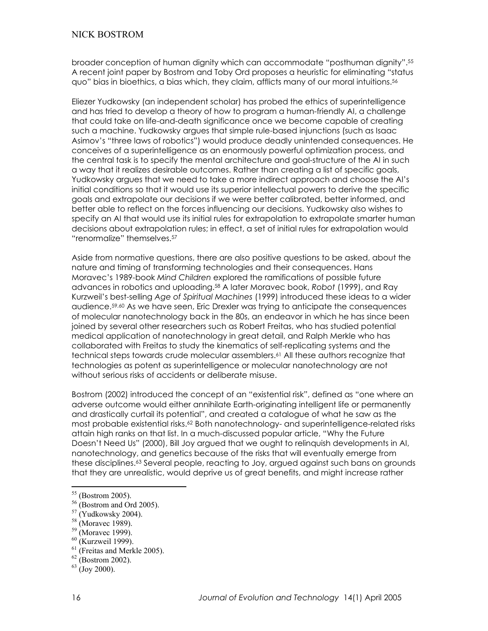broader conception of human dignity which can accommodate "posthuman dignity".<sup>[55](#page-15-0)</sup> A recent joint paper by Bostrom and Toby Ord proposes a heuristic for eliminating "status  $q$ uo" bias in bioethics, a bias which, they claim, afflicts many of our moral intuitions.<sup>[56](#page-15-1)</sup>

Eliezer Yudkowsky (an independent scholar) has probed the ethics of superintelligence and has tried to develop a theory of how to program a human-friendly AI, a challenge that could take on life-and-death significance once we become capable of creating such a machine. Yudkowsky argues that simple rule-based injunctions (such as Isaac Asimov's "three laws of robotics") would produce deadly unintended consequences. He conceives of a superintelligence as an enormously powerful optimization process, and the central task is to specify the mental architecture and goal-structure of the AI in such a way that it realizes desirable outcomes. Rather than creating a list of specific goals, Yudkowsky argues that we need to take a more indirect approach and choose the AI`s initial conditions so that it would use its superior intellectual powers to derive the specific goals and extrapolate our decisions if we were better calibrated, better informed, and better able to reflect on the forces influencing our decisions. Yudkowsky also wishes to specify an AI that would use its initial rules for extrapolation to extrapolate smarter human decisions about extrapolation rules; in effect, a set of initial rules for extrapolation would "renormalize" themselves.<sup>57</sup>

Aside from normative questions, there are also positive questions to be asked, about the nature and timing of transforming technologies and their consequences. Hans Moravec`s 1989-book *Mind Children* explored the ramifications of possible future advances in robotics and uploading[.58](#page-15-3) A later Moravec book, *Robot* (1999), and Ray Kurzweil`s best-selling *Age of Spiritual Machines* (1999) introduced these ideas to a wider audience[.59,](#page-15-4)[60](#page-15-5) As we have seen, Eric Drexler was trying to anticipate the consequences of molecular nanotechnology back in the 80s, an endeavor in which he has since been joined by several other researchers such as Robert Freitas, who has studied potential medical application of nanotechnology in great detail, and Ralph Merkle who has collaborated with Freitas to study the kinematics of self-replicating systems and the technical steps towards crude molecular assemblers.[61](#page-15-6) All these authors recognize that technologies as potent as superintelligence or molecular nanotechnology are not without serious risks of accidents or deliberate misuse.

Bostrom (2002) introduced the concept of an "existential risk", defined as "one where an adverse outcome would either annihilate Earth-originating intelligent life or permanently and drastically curtail its potential", and created a catalogue of what he saw as the most probable existential risks.[62](#page-15-7) Both nanotechnology- and superintelligence-related risks attain high ranks on that list. In a much-discussed popular article, "Why the Future Doesn't Need Us" (2000), Bill Joy argued that we ought to relinquish developments in AI, nanotechnology, and genetics because of the risks that will eventually emerge from these disciplines[.63](#page-15-8) Several people, reacting to Joy, argued against such bans on grounds that they are unrealistic, would deprive us of great benefits, and might increase rather

<span id="page-15-0"></span> $55$  (Bostrom 2005).

<span id="page-15-1"></span>

<span id="page-15-2"></span>

<span id="page-15-3"></span>

<span id="page-15-4"></span>

<span id="page-15-6"></span><span id="page-15-5"></span>

<sup>&</sup>lt;sup>56</sup> (Bostrom and Ord 2005).<br><sup>57</sup> (Yudkowsky 2004).<br><sup>58</sup> (Moravec 1989).<br><sup>60</sup> (Moravec 1999).<br><sup>60</sup> (Kurzweil 1999).<br><sup>61</sup> (Freitas and Merkle 2005).<br><sup>62</sup> (Bostrom 2002).<br><sup>63</sup> (Joy 2000).

<span id="page-15-7"></span>

<span id="page-15-8"></span>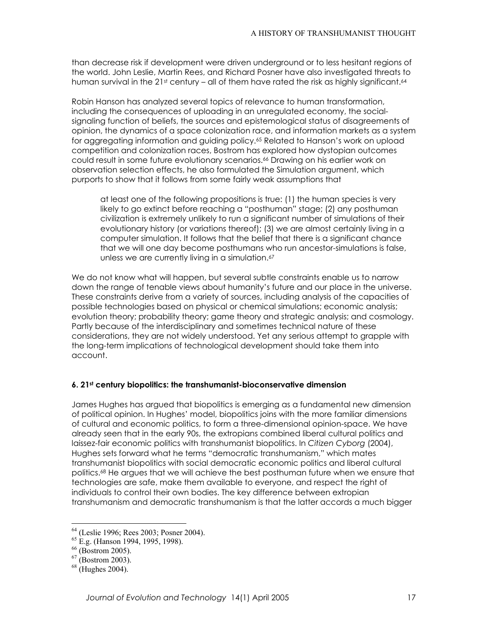than decrease risk if development were driven underground or to less hesitant regions of the world. John Leslie, Martin Rees, and Richard Posner have also investigated threats to human survival in the 21st century – all of them have rated the risk as highly significant.<sup>64</sup>

Robin Hanson has analyzed several topics of relevance to human transformation, including the consequences of uploading in an unregulated economy, the socialsignaling function of beliefs, the sources and epistemological status of disagreements of opinion, the dynamics of a space colonization race, and information markets as a system for aggregating information and guiding policy.<sup>65</sup> Related to Hanson's work on upload competition and colonization races, Bostrom has explored how dystopian outcomes could result in some future evolutionary scenarios.<sup>66</sup> Drawing on his earlier work on observation selection effects, he also formulated the Simulation argument, which purports to show that it follows from some fairly weak assumptions that

at least one of the following propositions is true: (1) the human species is very likely to go extinct before reaching a "posthuman" stage; (2) any posthuman civilization is extremely unlikely to run a significant number of simulations of their evolutionary history (or variations thereof); (3) we are almost certainly living in a computer simulation. It follows that the belief that there is a significant chance that we will one day become posthumans who run ancestor-simulations is false, unless we are currently living in a simulation.<sup>[67](#page-16-3)</sup>

We do not know what will happen, but several subtle constraints enable us to narrow down the range of tenable views about humanity`s future and our place in the universe. These constraints derive from a variety of sources, including analysis of the capacities of possible technologies based on physical or chemical simulations; economic analysis; evolution theory; probability theory; game theory and strategic analysis; and cosmology. Partly because of the interdisciplinary and sometimes technical nature of these considerations, they are not widely understood. Yet any serious attempt to grapple with the long-term implications of technological development should take them into account.

#### **6. 21st century biopolitics: the transhumanist-bioconservative dimension**

James Hughes has argued that biopolitics is emerging as a fundamental new dimension of political opinion. In Hughes` model, biopolitics joins with the more familiar dimensions of cultural and economic politics, to form a three-dimensional opinion-space. We have already seen that in the early 90s, the extropians combined liberal cultural politics and laissez-fair economic politics with transhumanist biopolitics. In *Citizen Cyborg* (2004), Hughes sets forward what he terms "democratic transhumanism," which mates transhumanist biopolitics with social democratic economic politics and liberal cultural politics.[68](#page-16-4) He argues that we will achieve the best posthuman future when we ensure that technologies are safe, make them available to everyone, and respect the right of individuals to control their own bodies. The key difference between extropian transhumanism and democratic transhumanism is that the latter accords a much bigger

<span id="page-16-0"></span><sup>&</sup>lt;sup>64</sup> (Leslie 1996; Rees 2003; Posner 2004).<br><sup>65</sup> E.g. (Hanson 1994, 1995, 1998).<br><sup>66</sup> (Bostrom 2005).<br><sup>67</sup> (Bostrom 2003). <sup>68</sup> (Hughes 2004).

<span id="page-16-1"></span>

<span id="page-16-2"></span>

<span id="page-16-3"></span>

<span id="page-16-4"></span>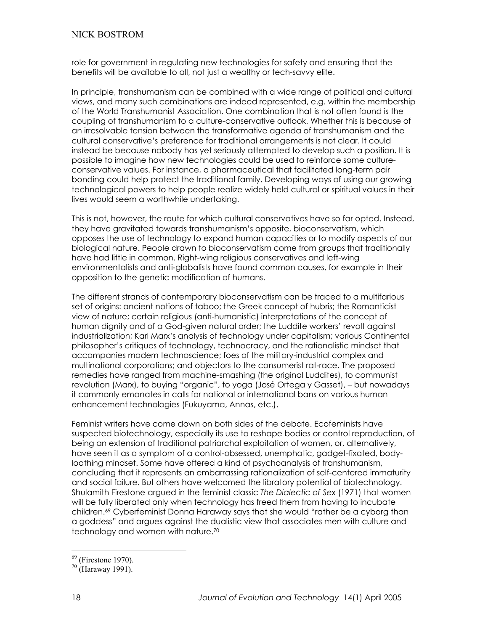role for government in regulating new technologies for safety and ensuring that the benefits will be available to all, not just a wealthy or tech-savvy elite.

In principle, transhumanism can be combined with a wide range of political and cultural views, and many such combinations are indeed represented, e.g. within the membership of the World Transhumanist Association. One combination that is not often found is the coupling of transhumanism to a culture-conservative outlook. Whether this is because of an irresolvable tension between the transformative agenda of transhumanism and the cultural conservative`s preference for traditional arrangements is not clear. It could instead be because nobody has yet seriously attempted to develop such a position. It is possible to imagine how new technologies could be used to reinforce some cultureconservative values. For instance, a pharmaceutical that facilitated long-term pair bonding could help protect the traditional family. Developing ways of using our growing technological powers to help people realize widely held cultural or spiritual values in their lives would seem a worthwhile undertaking.

This is not, however, the route for which cultural conservatives have so far opted. Instead, they have gravitated towards transhumanism`s opposite, bioconservatism, which opposes the use of technology to expand human capacities or to modify aspects of our biological nature. People drawn to bioconservatism come from groups that traditionally have had little in common. Right-wing religious conservatives and left-wing environmentalists and anti-globalists have found common causes, for example in their opposition to the genetic modification of humans.

The different strands of contemporary bioconservatism can be traced to a multifarious set of origins: ancient notions of taboo; the Greek concept of hubris; the Romanticist view of nature; certain religious (anti-humanistic) interpretations of the concept of human dignity and of a God-given natural order; the Luddite workers` revolt against industrialization; Karl Marx`s analysis of technology under capitalism; various Continental philosopher`s critiques of technology, technocracy, and the rationalistic mindset that accompanies modern technoscience; foes of the military-industrial complex and multinational corporations; and objectors to the consumerist rat-race. The proposed remedies have ranged from machine-smashing (the original Luddites), to communist revolution (Marx), to buying "organic", to yoga (José Ortega y Gasset), - but nowadays it commonly emanates in calls for national or international bans on various human enhancement technologies (Fukuyama, Annas, etc.).

Feminist writers have come down on both sides of the debate. Ecofeminists have suspected biotechnology, especially its use to reshape bodies or control reproduction, of being an extension of traditional patriarchal exploitation of women, or, alternatively, have seen it as a symptom of a control-obsessed, unemphatic, gadget-fixated, bodyloathing mindset. Some have offered a kind of psychoanalysis of transhumanism, concluding that it represents an embarrassing rationalization of self-centered immaturity and social failure. But others have welcomed the libratory potential of biotechnology. Shulamith Firestone argued in the feminist classic *The Dialectic of Sex* (1971) that women will be fully liberated only when technology has freed them from having to incubate children.<sup>69</sup> Cyberfeminist Donna Haraway says that she would "rather be a cyborg than a goddess" and argues against the dualistic view that associates men with culture and technology and women with nature.[70](#page-17-1)

<span id="page-17-1"></span><span id="page-17-0"></span>

 $^{69}$  (Firestone 1970).<br> $^{70}$  (Haraway 1991).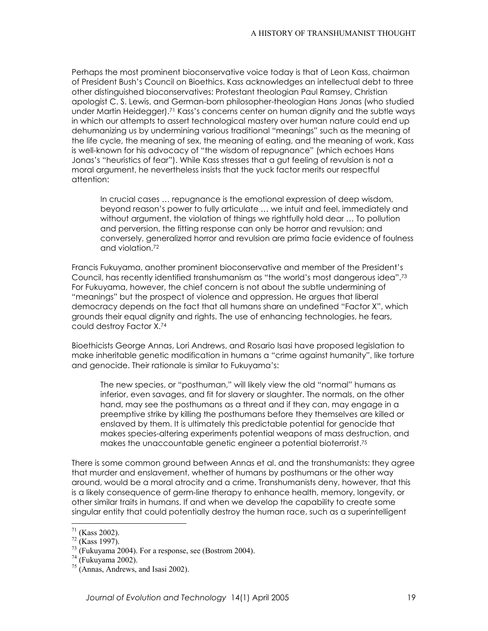Perhaps the most prominent bioconservative voice today is that of Leon Kass, chairman of President Bush`s Council on Bioethics. Kass acknowledges an intellectual debt to three other distinguished bioconservatives: Protestant theologian Paul Ramsey, Christian apologist C. S. Lewis, and German-born philosopher-theologian Hans Jonas (who studied under Martin Heidegger).[71 K](#page-18-0)ass`s concerns center on human dignity and the subtle ways in which our attempts to assert technological mastery over human nature could end up dehumanizing us by undermining various traditional "meanings" such as the meaning of the life cycle, the meaning of sex, the meaning of eating, and the meaning of work. Kass is well-known for his advocacy of "the wisdom of repugnance" (which echoes Hans Jonas's "heuristics of fear"). While Kass stresses that a gut feeling of revulsion is not a moral argument, he nevertheless insists that the yuck factor merits our respectful attention:

In crucial cases ... repugnance is the emotional expression of deep wisdom, beyond reason's power to fully articulate ... we intuit and feel, immediately and without argument, the violation of things we rightfully hold dear ... To pollution and perversion, the fitting response can only be horror and revulsion; and conversely, generalized horror and revulsion are prima facie evidence of foulness and violation[.72](#page-18-1)

Francis Fukuyama, another prominent bioconservative and member of the President`s Council, has recently identified transhumanism as "the world's most dangerous idea".<sup>[73](#page-18-2)</sup> For Fukuyama, however, the chief concern is not about the subtle undermining of "meanings" but the prospect of violence and oppression. He argues that liberal democracy depends on the fact that all humans share an undefined "Factor X", which grounds their equal dignity and rights. The use of enhancing technologies, he fears, could destroy Factor X.[74](#page-18-3)

Bioethicists George Annas, Lori Andrews, and Rosario Isasi have proposed legislation to make inheritable genetic modification in humans a "crime against humanity", like torture and genocide. Their rationale is similar to Fukuyama`s:

The new species, or "posthuman," will likely view the old "normal" humans as inferior, even savages, and fit for slavery or slaughter. The normals, on the other hand, may see the posthumans as a threat and if they can, may engage in a preemptive strike by killing the posthumans before they themselves are killed or enslaved by them. It is ultimately this predictable potential for genocide that makes species-altering experiments potential weapons of mass destruction, and makes the unaccountable genetic engineer a potential bioterrorist.[75](#page-18-4)

There is some common ground between Annas et al. and the transhumanists: they agree that murder and enslavement, whether of humans by posthumans or the other way around, would be a moral atrocity and a crime. Transhumanists deny, however, that this is a likely consequence of germ-line therapy to enhance health, memory, longevity, or other similar traits in humans. If and when we develop the capability to create some singular entity that could potentially destroy the human race, such as a superintelligent

<span id="page-18-0"></span> $71$  (Kass 2002).

<span id="page-18-2"></span><span id="page-18-1"></span>

<sup>&</sup>lt;sup>72</sup> (Kass 1997).<br><sup>73</sup> (Fukuyama 2004). For a response, see (Bostrom 2004).<br><sup>74</sup> (Fukuyama 2002).<br><sup>75</sup> (Annas, Andrews, and Isasi 2002).

<span id="page-18-3"></span>

<span id="page-18-4"></span>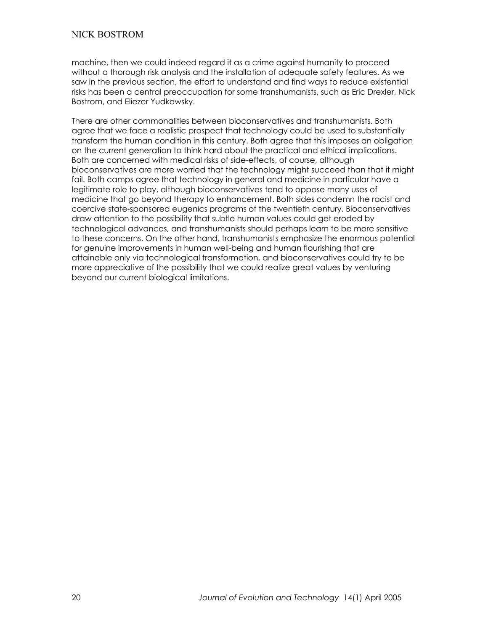machine, then we could indeed regard it as a crime against humanity to proceed without a thorough risk analysis and the installation of adequate safety features. As we saw in the previous section, the effort to understand and find ways to reduce existential risks has been a central preoccupation for some transhumanists, such as Eric Drexler, Nick Bostrom, and Eliezer Yudkowsky.

There are other commonalities between bioconservatives and transhumanists. Both agree that we face a realistic prospect that technology could be used to substantially transform the human condition in this century. Both agree that this imposes an obligation on the current generation to think hard about the practical and ethical implications. Both are concerned with medical risks of side-effects, of course, although bioconservatives are more worried that the technology might succeed than that it might fail. Both camps agree that technology in general and medicine in particular have a legitimate role to play, although bioconservatives tend to oppose many uses of medicine that go beyond therapy to enhancement. Both sides condemn the racist and coercive state-sponsored eugenics programs of the twentieth century. Bioconservatives draw attention to the possibility that subtle human values could get eroded by technological advances, and transhumanists should perhaps learn to be more sensitive to these concerns. On the other hand, transhumanists emphasize the enormous potential for genuine improvements in human well-being and human flourishing that are attainable only via technological transformation, and bioconservatives could try to be more appreciative of the possibility that we could realize great values by venturing beyond our current biological limitations.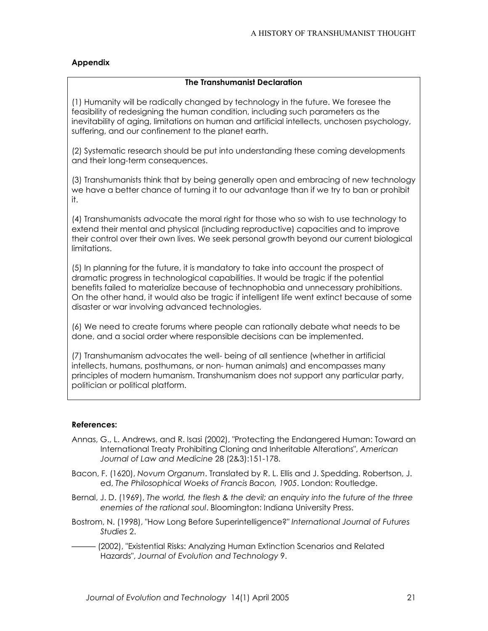### **Appendix**

#### **The Transhumanist Declaration**

(1) Humanity will be radically changed by technology in the future. We foresee the feasibility of redesigning the human condition, including such parameters as the inevitability of aging, limitations on human and artificial intellects, unchosen psychology, suffering, and our confinement to the planet earth.

(2) Systematic research should be put into understanding these coming developments and their long-term consequences.

(3) Transhumanists think that by being generally open and embracing of new technology we have a better chance of turning it to our advantage than if we try to ban or prohibit it.

(4) Transhumanists advocate the moral right for those who so wish to use technology to extend their mental and physical (including reproductive) capacities and to improve their control over their own lives. We seek personal growth beyond our current biological limitations.

(5) In planning for the future, it is mandatory to take into account the prospect of dramatic progress in technological capabilities. It would be tragic if the potential benefits failed to materialize because of technophobia and unnecessary prohibitions. On the other hand, it would also be tragic if intelligent life went extinct because of some disaster or war involving advanced technologies.

(6) We need to create forums where people can rationally debate what needs to be done, and a social order where responsible decisions can be implemented.

(7) Transhumanism advocates the well- being of all sentience (whether in artificial intellects, humans, posthumans, or non- human animals) and encompasses many principles of modern humanism. Transhumanism does not support any particular party, politician or political platform.

#### **References:**

- Annas, G., L. Andrews, and R. Isasi (2002), "Protecting the Endangered Human: Toward an International Treaty Prohibiting Cloning and Inheritable Alterations", *American Journal of Law and Medicine* 28 (2&3):151-178.
- Bacon, F. (1620), *Novum Organum*. Translated by R. L. Ellis and J. Spedding. Robertson, J. ed, *The Philosophical Woeks of Francis Bacon, 1905*. London: Routledge.
- Bernal, J. D. (1969), *The world, the flesh & the devil; an enquiry into the future of the three enemies of the rational soul*. Bloomington: Indiana University Press.
- Bostrom, N. (1998), "How Long Before Superintelligence?" *International Journal of Futures Studies* 2.
- sss (2002), "Existential Risks: Analyzing Human Extinction Scenarios and Related Hazards", *Journal of Evolution and Technology* 9.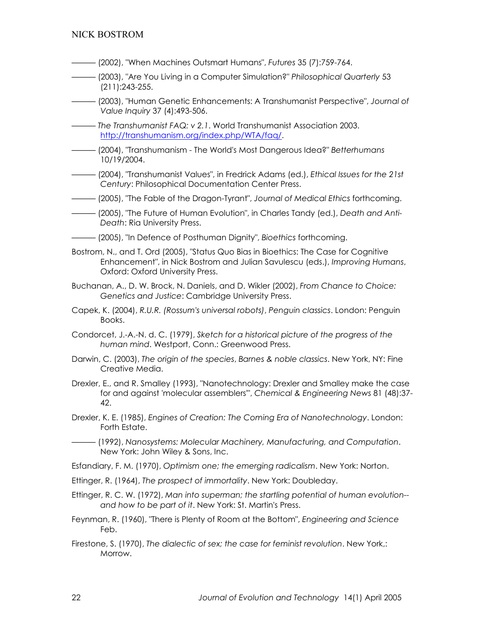- sss (2002), "When Machines Outsmart Humans", *Futures* 35 (7):759-764.
- sss (2003), "Are You Living in a Computer Simulation?" *Philosophical Quarterly* 53 (211):243-255.
- sss (2003), "Human Genetic Enhancements: A Transhumanist Perspective", *Journal of Value Inquiry* 37 (4):493-506.
- sss *The Transhumanist FAQ: v 2.1*. World Transhumanist Association 2003. [http://transhumanism.org/index.php/WTA/faq/.](http://transhumanism.org/index.php/WTA/faq/)
- sss (2004), "Transhumanism The World's Most Dangerous Idea?" *Betterhumans* 10/19/2004.
- sss (2004), "Transhumanist Values", in Fredrick Adams (ed.), *Ethical Issues for the 21st Century*: Philosophical Documentation Center Press.
- sss (2005), "The Fable of the Dragon-Tyrant", *Journal of Medical Ethics* forthcoming.
- sss (2005), "The Future of Human Evolution", in Charles Tandy (ed.), *Death and Anti-Death*: Ria University Press.
- sss (2005), "In Defence of Posthuman Dignity", *Bioethics* forthcoming.
- Bostrom, N., and T. Ord (2005), "Status Quo Bias in Bioethics: The Case for Cognitive Enhancement", in Nick Bostrom and Julian Savulescu (eds.), *Improving Humans*, Oxford: Oxford University Press.
- Buchanan, A., D. W. Brock, N. Daniels, and D. Wikler (2002), *From Chance to Choice: Genetics and Justice*: Cambridge University Press.
- Capek, K. (2004), *R.U.R. (Rossum's universal robots)*, *Penguin classics*. London: Penguin Books.
- Condorcet, J.-A.-N. d. C. (1979), *Sketch for a historical picture of the progress of the human mind*. Westport, Conn.: Greenwood Press.
- Darwin, C. (2003), *The origin of the species*, *Barnes & noble classics*. New York, NY: Fine Creative Media.
- Drexler, E., and R. Smalley (1993), "Nanotechnology: Drexler and Smalley make the case for and against 'molecular assemblers'", *Chemical & Engineering News* 81 (48):37- 42.
- Drexler, K. E. (1985), *Engines of Creation: The Coming Era of Nanotechnology*. London: Forth Estate.
- sss (1992), *Nanosystems: Molecular Machinery, Manufacturing, and Computation*. New York: John Wiley & Sons, Inc.
- Esfandiary, F. M. (1970), *Optimism one; the emerging radicalism*. New York: Norton.
- Ettinger, R. (1964), *The prospect of immortality*. New York: Doubleday.
- Ettinger, R. C. W. (1972), *Man into superman; the startling potential of human evolution- and how to be part of it*. New York: St. Martin's Press.
- Feynman, R. (1960), "There is Plenty of Room at the Bottom", *Engineering and Science* Feb.
- Firestone, S. (1970), *The dialectic of sex; the case for feminist revolution*. New York,: Morrow.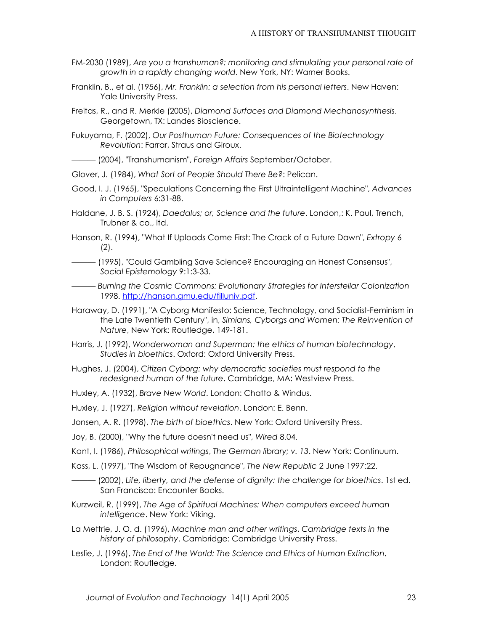- FM-2030 (1989), *Are you a transhuman?: monitoring and stimulating your personal rate of growth in a rapidly changing world*. New York, NY: Warner Books.
- Franklin, B., et al. (1956), *Mr. Franklin: a selection from his personal letters*. New Haven: Yale University Press.
- Freitas, R., and R. Merkle (2005), *Diamond Surfaces and Diamond Mechanosynthesis*. Georgetown, TX: Landes Bioscience.
- Fukuyama, F. (2002), *Our Posthuman Future: Consequences of the Biotechnology Revolution*: Farrar, Straus and Giroux.
- sss (2004), "Transhumanism", *Foreign Affairs* September/October.
- Glover, J. (1984), *What Sort of People Should There Be?*: Pelican.
- Good, I. J. (1965), "Speculations Concerning the First Ultraintelligent Machine", *Advances in Computers* 6:31-88.
- Haldane, J. B. S. (1924), *Daedalus; or, Science and the future*. London,: K. Paul, Trench, Trubner & co., ltd.
- Hanson, R. (1994), "What If Uploads Come First: The Crack of a Future Dawn", *Extropy* 6 (2).
- sss (1995), "Could Gambling Save Science? Encouraging an Honest Consensus", *Social Epistemology* 9:1:3-33.
- sss *Burning the Cosmic Commons: Evolutionary Strategies for Interstellar Colonization* 1998. <http://hanson.gmu.edu/filluniv.pdf>.
- Haraway, D. (1991), "A Cyborg Manifesto: Science, Technology, and Socialist-Feminism in the Late Twentieth Century", in, *Simians, Cyborgs and Women: The Reinvention of Nature*, New York: Routledge, 149-181.
- Harris, J. (1992), *Wonderwoman and Superman: the ethics of human biotechnology*, *Studies in bioethics*. Oxford: Oxford University Press.
- Hughes, J. (2004), *Citizen Cyborg: why democratic societies must respond to the redesigned human of the future*. Cambridge, MA: Westview Press.
- Huxley, A. (1932), *Brave New World*. London: Chatto & Windus.
- Huxley, J. (1927), *Religion without revelation*. London: E. Benn.
- Jonsen, A. R. (1998), *The birth of bioethics*. New York: Oxford University Press.
- Joy, B. (2000), "Why the future doesn't need us", *Wired* 8.04.
- Kant, I. (1986), *Philosophical writings*, *The German library; v. 13*. New York: Continuum.
- Kass, L. (1997), "The Wisdom of Repugnance", *The New Republic* 2 June 1997:22.
- sss (2002), *Life, liberty, and the defense of dignity: the challenge for bioethics*. 1st ed. San Francisco: Encounter Books.
- Kurzweil, R. (1999), *The Age of Spiritual Machines: When computers exceed human intelligence*. New York: Viking.
- La Mettrie, J. O. d. (1996), *Machine man and other writings*, *Cambridge texts in the history of philosophy*. Cambridge: Cambridge University Press.
- Leslie, J. (1996), *The End of the World: The Science and Ethics of Human Extinction*. London: Routledge.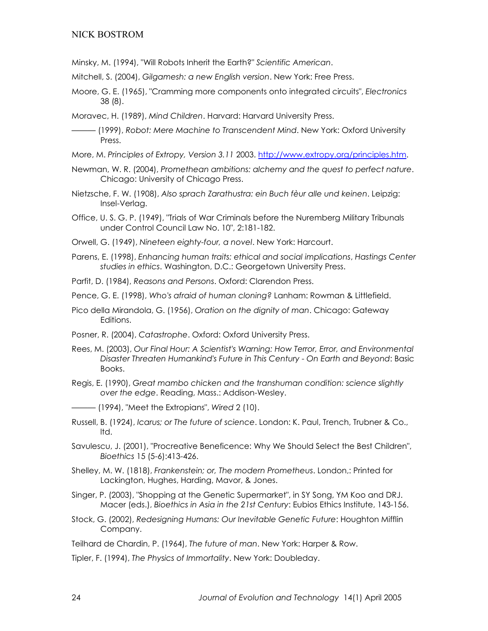- Minsky, M. (1994), "Will Robots Inherit the Earth?" *Scientific American*.
- Mitchell, S. (2004), *Gilgamesh: a new English version*. New York: Free Press.
- Moore, G. E. (1965), "Cramming more components onto integrated circuits", *Electronics* 38 (8).
- Moravec, H. (1989), *Mind Children*. Harvard: Harvard University Press.
	- sss (1999), *Robot: Mere Machine to Transcendent Mind*. New York: Oxford University Press.
- More, M. *Principles of Extropy, Version 3.11* 2003. [http://www.extropy.org/principles.htm.](http://www.extropy.org/principles.htm)
- Newman, W. R. (2004), *Promethean ambitions: alchemy and the quest to perfect nature*. Chicago: University of Chicago Press.
- Nietzsche, F. W. (1908), *Also sprach Zarathustra: ein Buch fèur alle und keinen*. Leipzig: Insel-Verlag.
- Office, U. S. G. P. (1949), "Trials of War Criminals before the Nuremberg Military Tribunals under Control Council Law No. 10", 2:181-182.
- Orwell, G. (1949), *Nineteen eighty-four, a novel*. New York: Harcourt.
- Parens, E. (1998), *Enhancing human traits: ethical and social implications*, *Hastings Center studies in ethics*. Washington, D.C.: Georgetown University Press.
- Parfit, D. (1984), *Reasons and Persons*. Oxford: Clarendon Press.

Pence, G. E. (1998), *Who's afraid of human cloning?* Lanham: Rowman & Littlefield.

- Pico della Mirandola, G. (1956), *Oration on the dignity of man*. Chicago: Gateway Editions.
- Posner, R. (2004), *Catastrophe*. Oxford: Oxford University Press.
- Rees, M. (2003), *Our Final Hour: A Scientist's Warning: How Terror, Error, and Environmental Disaster Threaten Humankind's Future in This Century - On Earth and Beyond*: Basic Books.
- Regis, E. (1990), *Great mambo chicken and the transhuman condition: science slightly over the edge*. Reading, Mass.: Addison-Wesley.

sss (1994), "Meet the Extropians", *Wired* 2 (10).

- Russell, B. (1924), *Icarus; or The future of science*. London: K. Paul, Trench, Trubner & Co., ltd.
- Savulescu, J. (2001), "Procreative Beneficence: Why We Should Select the Best Children", *Bioethics* 15 (5-6):413-426.
- Shelley, M. W. (1818), *Frankenstein; or, The modern Prometheus*. London,: Printed for Lackington, Hughes, Harding, Mavor, & Jones.
- Singer, P. (2003), "Shopping at the Genetic Supermarket", in SY Song, YM Koo and DRJ. Macer (eds.), *Bioethics in Asia in the 21st Century*: Eubios Ethics Institute, 143-156.
- Stock, G. (2002), *Redesigning Humans: Our Inevitable Genetic Future*: Houghton Mifflin Company.
- Teilhard de Chardin, P. (1964), *The future of man*. New York: Harper & Row.
- Tipler, F. (1994), *The Physics of Immortality*. New York: Doubleday.